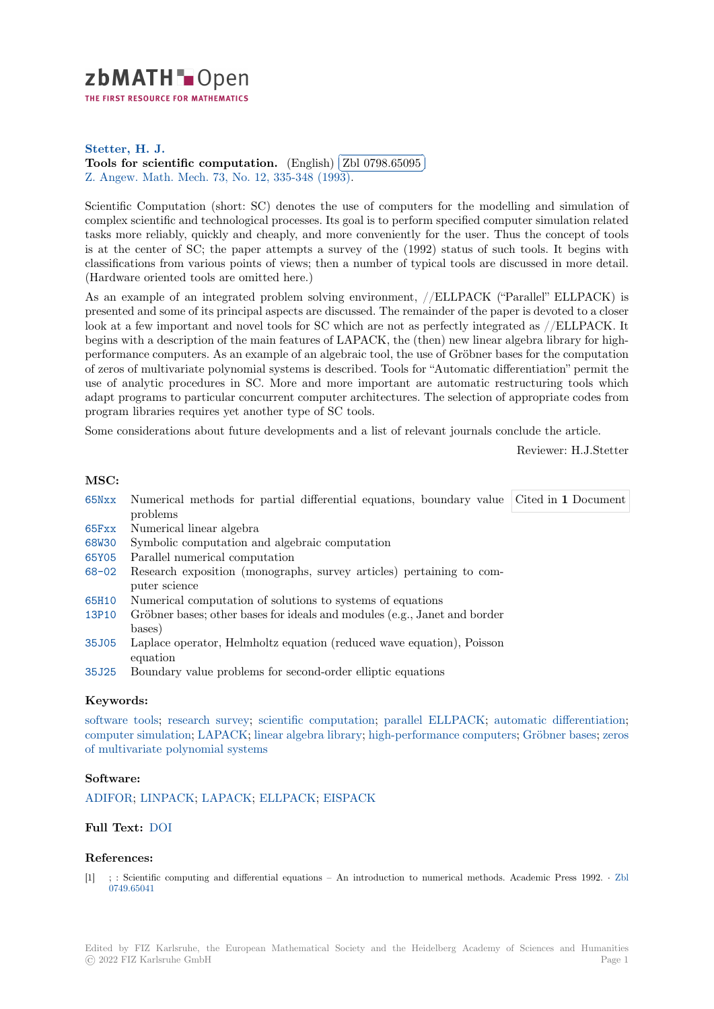

THE FIRST RESOURCE FOR MATHEMATICS

# **Stetter, H. J.**

**[T](https://zbmath.org/)ools for scientific computation.** (English) **Zbl 0798.65095** ✂ Z. Angew. Math. Mech. 73, No. 12, 335-348 (1993). Ĭ. Į.

[Scientific Comp](https://zbmath.org/authors/?q=ai:stetter.hans-j)utation (short: SC) denotes the use of computers for the modelling and simulation of [complex scientific and technological p](https://zbmath.org/0798.65095)rocesses. It[s goal is to perform](https://zbmath.org/0798.65095) specified computer simulation related [tasks more reliably, quic](https://zbmath.org/journals/?q=se:225)[kly and cheaply, and more](https://zbmath.org/?q=in:19727) conveniently for the user. Thus the concept of tools is at the center of SC; the paper attempts a survey of the (1992) status of such tools. It begins with classifications from various points of views; then a number of typical tools are discussed in more detail. (Hardware oriented tools are omitted here.)

As an example of an integrated problem solving environment, //ELLPACK ("Parallel" ELLPACK) is presented and some of its principal aspects are discussed. The remainder of the paper is devoted to a closer look at a few important and novel tools for SC which are not as perfectly integrated as //ELLPACK. It begins with a description of the main features of LAPACK, the (then) new linear algebra library for highperformance computers. As an example of an algebraic tool, the use of Gröbner bases for the computation of zeros of multivariate polynomial systems is described. Tools for "Automatic differentiation" permit the use of analytic procedures in SC. More and more important are automatic restructuring tools which adapt programs to particular concurrent computer architectures. The selection of appropriate codes from program libraries requires yet another type of SC tools.

Some considerations about future developments and a list of relevant journals conclude the article.

Reviewer: H.J.Stetter

#### **MSC:**

| 65Nxx Numerical methods for partial differential equations, boundary value Cited in 1 Document |  |  |
|------------------------------------------------------------------------------------------------|--|--|
| problems                                                                                       |  |  |
| 65Fxx Numerical linear algebra                                                                 |  |  |
| 68W30 Symbolic computation and algebraic computation                                           |  |  |
| 65Y05 Parallel numerical computation                                                           |  |  |
|                                                                                                |  |  |

- 68-02 Research exposition (monographs, survey articles) pertaining to computer science
- [65H10](https://zbmath.org/classification/?q=cc:68W30) Numerical computation of solutions to systems of equations
- [13P10](https://zbmath.org/classification/?q=cc:65Y05) Gröbner bases; other bases for ideals and modules (e.g., Janet and border bases)
- [35J05](https://zbmath.org/classification/?q=cc:68-02) Laplace operator, Helmholtz equation (reduced wave equation), Poisson equation
- [35J25](https://zbmath.org/classification/?q=cc:13P10) Boundary value problems for second-order elliptic equations

### **[Keyw](https://zbmath.org/classification/?q=cc:35J05)ords:**

software tools; research survey; scientific computation; parallel ELLPACK; automatic differentiation; [compu](https://zbmath.org/classification/?q=cc:35J25)ter simulation; LAPACK; linear algebra library; high-performance computers; Gröbner bases; zeros of multivariate polynomial systems

### **[Software:](https://zbmath.org/?q=ut:software+tools)**

[ADIFOR;](https://zbmath.org/?q=ut:computer+simulation) [LINPACK;](https://zbmath.org/?q=ut:zeros+of+multivariate+polynomial+systems) [LAPACK](https://zbmath.org/?q=ut:LAPACK); [ELLPACK;](https://zbmath.org/?q=ut:linear+algebra+library) EISPAC[K](https://zbmath.org/?q=ut:high-performance+computers)

# **Full Text:** DOI

### **[Referenc](https://swmath.org/software/2185)[es:](https://swmath.org/software/4209)**

[1] ; : Scientific computing and differential equations – An introduction to numerical methods. Academic Press 1992. *·* Zbl 0749.6504[1](https://dx.doi.org/10.1002/zamm.19930731202)